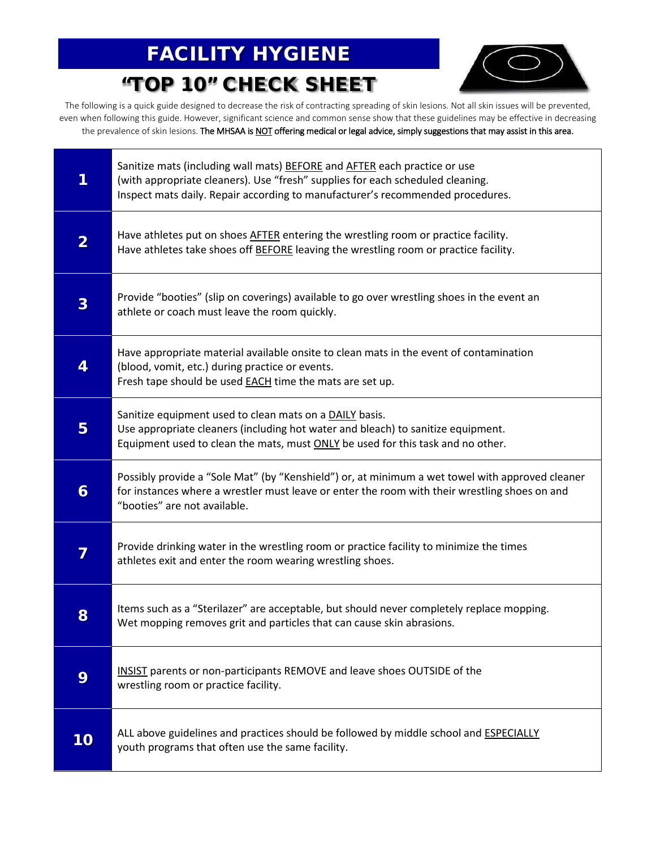### FACILITY HYGIENE

"TOP 10" CHECK SHEET



The following is a quick guide designed to decrease the risk of contracting spreading of skin lesions. Not all skin issues will be prevented, even when following this guide. However, significant science and common sense show that these guidelines may be effective in decreasing the prevalence of skin lesions. The MHSAA is NOT offering medical or legal advice, simply suggestions that may assist in this area.

| 1                       | Sanitize mats (including wall mats) BEFORE and AFTER each practice or use<br>(with appropriate cleaners). Use "fresh" supplies for each scheduled cleaning.<br>Inspect mats daily. Repair according to manufacturer's recommended procedures. |  |  |  |  |  |
|-------------------------|-----------------------------------------------------------------------------------------------------------------------------------------------------------------------------------------------------------------------------------------------|--|--|--|--|--|
| $\overline{\mathbf{2}}$ | Have athletes put on shoes AFTER entering the wrestling room or practice facility.<br>Have athletes take shoes off BEFORE leaving the wrestling room or practice facility.                                                                    |  |  |  |  |  |
| 3                       | Provide "booties" (slip on coverings) available to go over wrestling shoes in the event an<br>athlete or coach must leave the room quickly.                                                                                                   |  |  |  |  |  |
| 4                       | Have appropriate material available onsite to clean mats in the event of contamination<br>(blood, vomit, etc.) during practice or events.<br>Fresh tape should be used <b>EACH</b> time the mats are set up.                                  |  |  |  |  |  |
| 5                       | Sanitize equipment used to clean mats on a DAILY basis.<br>Use appropriate cleaners (including hot water and bleach) to sanitize equipment.<br>Equipment used to clean the mats, must ONLY be used for this task and no other.                |  |  |  |  |  |
| 6                       | Possibly provide a "Sole Mat" (by "Kenshield") or, at minimum a wet towel with approved cleaner<br>for instances where a wrestler must leave or enter the room with their wrestling shoes on and<br>"booties" are not available.              |  |  |  |  |  |
| 7                       | Provide drinking water in the wrestling room or practice facility to minimize the times<br>athletes exit and enter the room wearing wrestling shoes.                                                                                          |  |  |  |  |  |
| 8                       | Items such as a "Sterilazer" are acceptable, but should never completely replace mopping.<br>Wet mopping removes grit and particles that can cause skin abrasions.                                                                            |  |  |  |  |  |
| 9                       | INSIST parents or non-participants REMOVE and leave shoes OUTSIDE of the<br>wrestling room or practice facility.                                                                                                                              |  |  |  |  |  |
| 10                      | ALL above guidelines and practices should be followed by middle school and ESPECIALLY<br>youth programs that often use the same facility.                                                                                                     |  |  |  |  |  |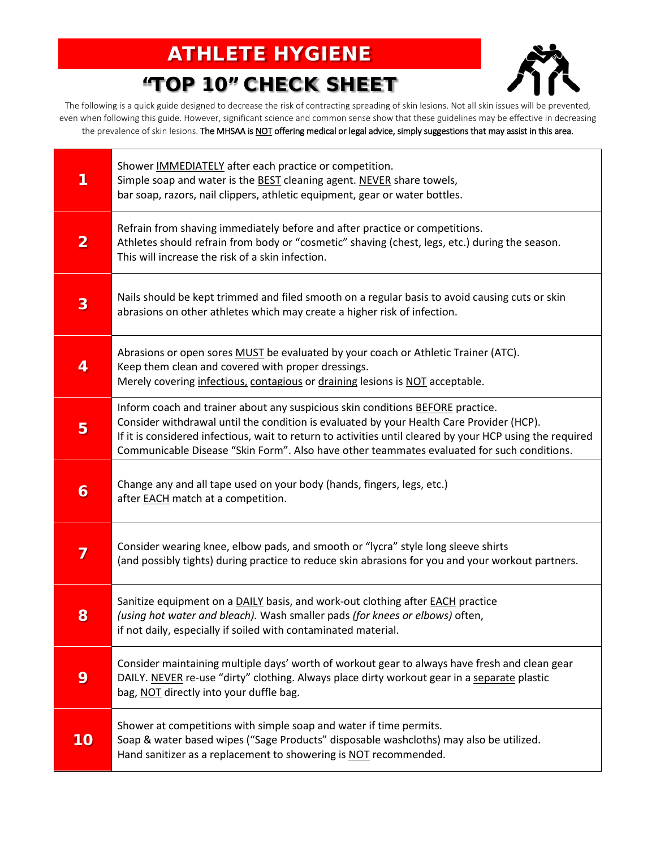# ATHLETE HYGIENE

## "TOP 10" CHECK SHEET



The following is a quick guide designed to decrease the risk of contracting spreading of skin lesions. Not all skin issues will be prevented, even when following this guide. However, significant science and common sense show that these guidelines may be effective in decreasing the prevalence of skin lesions. The MHSAA is NOT offering medical or legal advice, simply suggestions that may assist in this area.

| 1              | Shower IMMEDIATELY after each practice or competition.<br>Simple soap and water is the <b>BEST</b> cleaning agent. NEVER share towels,<br>bar soap, razors, nail clippers, athletic equipment, gear or water bottles.                                                                                                                                                                 |  |  |  |  |  |
|----------------|---------------------------------------------------------------------------------------------------------------------------------------------------------------------------------------------------------------------------------------------------------------------------------------------------------------------------------------------------------------------------------------|--|--|--|--|--|
| $\overline{2}$ | Refrain from shaving immediately before and after practice or competitions.<br>Athletes should refrain from body or "cosmetic" shaving (chest, legs, etc.) during the season.<br>This will increase the risk of a skin infection.                                                                                                                                                     |  |  |  |  |  |
| 3              | Nails should be kept trimmed and filed smooth on a regular basis to avoid causing cuts or skin<br>abrasions on other athletes which may create a higher risk of infection.                                                                                                                                                                                                            |  |  |  |  |  |
| 4              | Abrasions or open sores MUST be evaluated by your coach or Athletic Trainer (ATC).<br>Keep them clean and covered with proper dressings.<br>Merely covering infectious, contagious or draining lesions is NOT acceptable.                                                                                                                                                             |  |  |  |  |  |
| 5              | Inform coach and trainer about any suspicious skin conditions BEFORE practice.<br>Consider withdrawal until the condition is evaluated by your Health Care Provider (HCP).<br>If it is considered infectious, wait to return to activities until cleared by your HCP using the required<br>Communicable Disease "Skin Form". Also have other teammates evaluated for such conditions. |  |  |  |  |  |
| 6              | Change any and all tape used on your body (hands, fingers, legs, etc.)<br>after <b>EACH</b> match at a competition.                                                                                                                                                                                                                                                                   |  |  |  |  |  |
| 7              | Consider wearing knee, elbow pads, and smooth or "lycra" style long sleeve shirts<br>(and possibly tights) during practice to reduce skin abrasions for you and your workout partners.                                                                                                                                                                                                |  |  |  |  |  |
| 8              | Sanitize equipment on a DAILY basis, and work-out clothing after EACH practice<br>(using hot water and bleach). Wash smaller pads (for knees or elbows) often,<br>if not daily, especially if soiled with contaminated material.                                                                                                                                                      |  |  |  |  |  |
| 9              | Consider maintaining multiple days' worth of workout gear to always have fresh and clean gear<br>DAILY. NEVER re-use "dirty" clothing. Always place dirty workout gear in a separate plastic<br>bag, NOT directly into your duffle bag.                                                                                                                                               |  |  |  |  |  |
| 10             | Shower at competitions with simple soap and water if time permits.<br>Soap & water based wipes ("Sage Products" disposable washcloths) may also be utilized.<br>Hand sanitizer as a replacement to showering is NOT recommended.                                                                                                                                                      |  |  |  |  |  |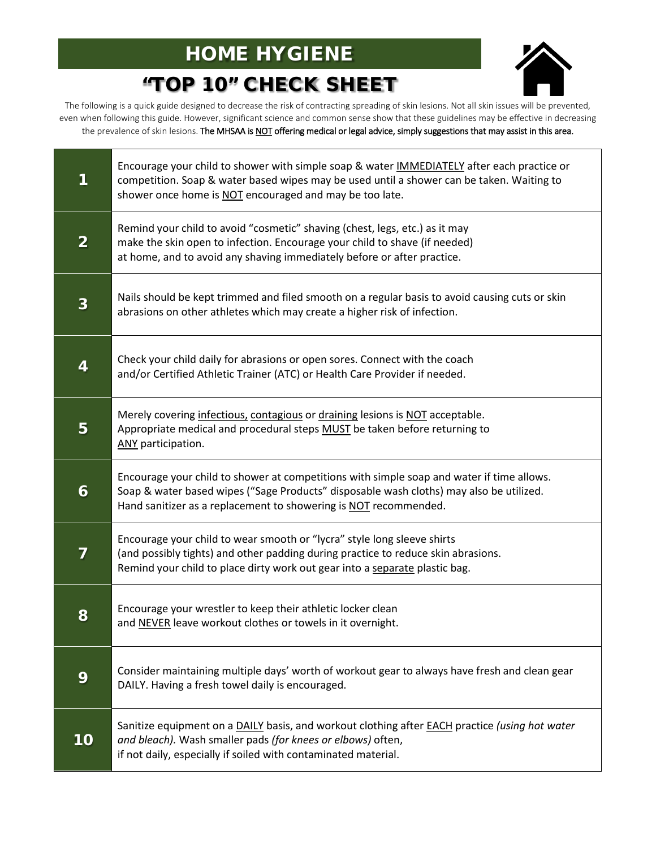# HOME HYGIENE "TOP 10" CHECK SHEET



The following is a quick guide designed to decrease the risk of contracting spreading of skin lesions. Not all skin issues will be prevented, even when following this guide. However, significant science and common sense show that these guidelines may be effective in decreasing the prevalence of skin lesions. The MHSAA is NOT offering medical or legal advice, simply suggestions that may assist in this area.

| 1              | Encourage your child to shower with simple soap & water IMMEDIATELY after each practice or<br>competition. Soap & water based wipes may be used until a shower can be taken. Waiting to<br>shower once home is NOT encouraged and may be too late.       |  |  |  |  |
|----------------|----------------------------------------------------------------------------------------------------------------------------------------------------------------------------------------------------------------------------------------------------------|--|--|--|--|
| $\overline{2}$ | Remind your child to avoid "cosmetic" shaving (chest, legs, etc.) as it may<br>make the skin open to infection. Encourage your child to shave (if needed)<br>at home, and to avoid any shaving immediately before or after practice.                     |  |  |  |  |
| 3              | Nails should be kept trimmed and filed smooth on a regular basis to avoid causing cuts or skin<br>abrasions on other athletes which may create a higher risk of infection.                                                                               |  |  |  |  |
| 4              | Check your child daily for abrasions or open sores. Connect with the coach<br>and/or Certified Athletic Trainer (ATC) or Health Care Provider if needed.                                                                                                 |  |  |  |  |
| 5              | Merely covering infectious, contagious or draining lesions is NOT acceptable.<br>Appropriate medical and procedural steps MUST be taken before returning to<br>ANY participation.                                                                        |  |  |  |  |
| 6              | Encourage your child to shower at competitions with simple soap and water if time allows.<br>Soap & water based wipes ("Sage Products" disposable wash cloths) may also be utilized.<br>Hand sanitizer as a replacement to showering is NOT recommended. |  |  |  |  |
| 7              | Encourage your child to wear smooth or "lycra" style long sleeve shirts<br>(and possibly tights) and other padding during practice to reduce skin abrasions.<br>Remind your child to place dirty work out gear into a separate plastic bag.              |  |  |  |  |
| 8              | Encourage your wrestler to keep their athletic locker clean<br>and NEVER leave workout clothes or towels in it overnight.                                                                                                                                |  |  |  |  |
| 9              | Consider maintaining multiple days' worth of workout gear to always have fresh and clean gear<br>DAILY. Having a fresh towel daily is encouraged.                                                                                                        |  |  |  |  |
| 10             | Sanitize equipment on a DAILY basis, and workout clothing after EACH practice (using hot water<br>and bleach). Wash smaller pads (for knees or elbows) often,<br>if not daily, especially if soiled with contaminated material.                          |  |  |  |  |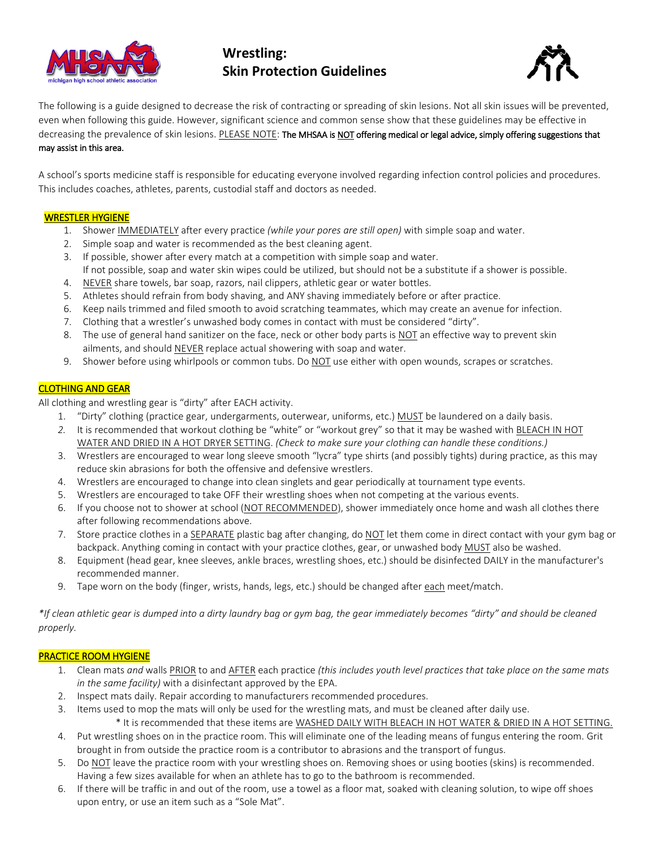

### **Wrestling: Skin Protection Guidelines**



The following is a guide designed to decrease the risk of contracting or spreading of skin lesions. Not all skin issues will be prevented, even when following this guide. However, significant science and common sense show that these guidelines may be effective in decreasing the prevalence of skin lesions. PLEASE NOTE: The MHSAA is NOT offering medical or legal advice, simply offering suggestions that may assist in this area.

A school's sports medicine staff is responsible for educating everyone involved regarding infection control policies and procedures. This includes coaches, athletes, parents, custodial staff and doctors as needed.

#### WRESTLER HYGIENE

- 1. Shower IMMEDIATELY after every practice *(while your pores are still open)* with simple soap and water.
- 2. Simple soap and water is recommended as the best cleaning agent.
- 3. If possible, shower after every match at a competition with simple soap and water. If not possible, soap and water skin wipes could be utilized, but should not be a substitute if a shower is possible.
- 4. NEVER share towels, bar soap, razors, nail clippers, athletic gear or water bottles.
- 5. Athletes should refrain from body shaving, and ANY shaving immediately before or after practice.
- 6. Keep nails trimmed and filed smooth to avoid scratching teammates, which may create an avenue for infection.
- 7. Clothing that a wrestler's unwashed body comes in contact with must be considered "dirty".
- 8. The use of general hand sanitizer on the face, neck or other body parts is NOT an effective way to prevent skin ailments, and should NEVER replace actual showering with soap and water.
- 9. Shower before using whirlpools or common tubs. Do NOT use either with open wounds, scrapes or scratches.

#### CLOTHING AND GEAR

All clothing and wrestling gear is "dirty" after EACH activity.

- 1. "Dirty" clothing (practice gear, undergarments, outerwear, uniforms, etc.) MUST be laundered on a daily basis.
- *2.* It is recommended that workout clothing be "white" or "workout grey" so that it may be washed with BLEACH IN HOT WATER AND DRIED IN A HOT DRYER SETTING. *(Check to make sure your clothing can handle these conditions.)*
- 3. Wrestlers are encouraged to wear long sleeve smooth "lycra" type shirts (and possibly tights) during practice, as this may reduce skin abrasions for both the offensive and defensive wrestlers.
- 4. Wrestlers are encouraged to change into clean singlets and gear periodically at tournament type events.
- 5. Wrestlers are encouraged to take OFF their wrestling shoes when not competing at the various events.
- 6. If you choose not to shower at school (NOT RECOMMENDED), shower immediately once home and wash all clothes there after following recommendations above.
- 7. Store practice clothes in a SEPARATE plastic bag after changing, do NOT let them come in direct contact with your gym bag or backpack. Anything coming in contact with your practice clothes, gear, or unwashed body MUST also be washed.
- 8. Equipment (head gear, knee sleeves, ankle braces, wrestling shoes, etc.) should be disinfected DAILY in the manufacturer's recommended manner.
- 9. Tape worn on the body (finger, wrists, hands, legs, etc.) should be changed after each meet/match.

*\*If clean athletic gear is dumped into a dirty laundry bag or gym bag, the gear immediately becomes "dirty" and should be cleaned properly.*

#### PRACTICE ROOM HYGIENE

- 1. Clean mats *and* walls PRIOR to and AFTER each practice *(this includes youth level practices that take place on the same mats in the same facility)* with a disinfectant approved by the EPA.
- 2. Inspect mats daily. Repair according to manufacturers recommended procedures.
- 3. Items used to mop the mats will only be used for the wrestling mats, and must be cleaned after daily use. \* It is recommended that these items are WASHED DAILY WITH BLEACH IN HOT WATER & DRIED IN A HOT SETTING.
- 4. Put wrestling shoes on in the practice room. This will eliminate one of the leading means of fungus entering the room. Grit brought in from outside the practice room is a contributor to abrasions and the transport of fungus.
- 5. Do NOT leave the practice room with your wrestling shoes on. Removing shoes or using booties (skins) is recommended. Having a few sizes available for when an athlete has to go to the bathroom is recommended.
- 6. If there will be traffic in and out of the room, use a towel as a floor mat, soaked with cleaning solution, to wipe off shoes upon entry, or use an item such as a "Sole Mat".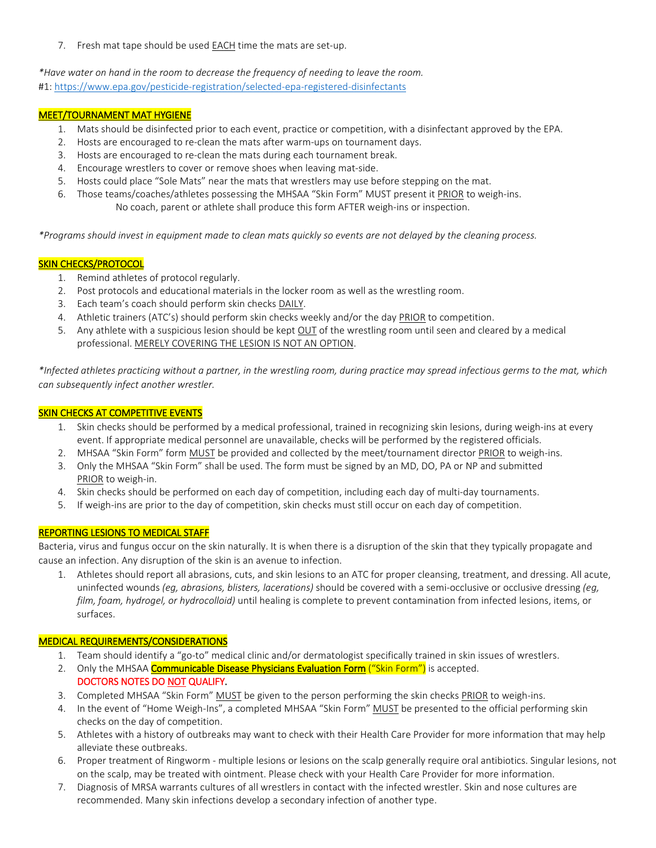7. Fresh mat tape should be used EACH time the mats are set-up.

*\*Have water on hand in the room to decrease the frequency of needing to leave the room.* #1:<https://www.epa.gov/pesticide-registration/selected-epa-registered-disinfectants>

#### MEET/TOURNAMENT MAT HYGIENE

- 1. Mats should be disinfected prior to each event, practice or competition, with a disinfectant approved by the EPA.
- 2. Hosts are encouraged to re-clean the mats after warm-ups on tournament days.
- 3. Hosts are encouraged to re-clean the mats during each tournament break.
- 4. Encourage wrestlers to cover or remove shoes when leaving mat-side.
- 5. Hosts could place "Sole Mats" near the mats that wrestlers may use before stepping on the mat.
- 6. Those teams/coaches/athletes possessing the MHSAA "Skin Form" MUST present it PRIOR to weigh-ins. No coach, parent or athlete shall produce this form AFTER weigh-ins or inspection.

*\*Programs should invest in equipment made to clean mats quickly so events are not delayed by the cleaning process.*

#### **SKIN CHECKS/PROTOCOL**

- 1. Remind athletes of protocol regularly.
- 2. Post protocols and educational materials in the locker room as well as the wrestling room.
- 3. Each team's coach should perform skin checks DAILY.
- 4. Athletic trainers (ATC's) should perform skin checks weekly and/or the day PRIOR to competition.
- 5. Any athlete with a suspicious lesion should be kept OUT of the wrestling room until seen and cleared by a medical professional. MERELY COVERING THE LESION IS NOT AN OPTION.

*\*Infected athletes practicing without a partner, in the wrestling room, during practice may spread infectious germs to the mat, which can subsequently infect another wrestler.*

#### SKIN CHECKS AT COMPETITIVE EVENTS

- 1. Skin checks should be performed by a medical professional, trained in recognizing skin lesions, during weigh-ins at every event. If appropriate medical personnel are unavailable, checks will be performed by the registered officials.
- 2. MHSAA "Skin Form" form MUST be provided and collected by the meet/tournament director PRIOR to weigh-ins.
- 3. Only the MHSAA "Skin Form" shall be used. The form must be signed by an MD, DO, PA or NP and submitted PRIOR to weigh-in.
- 4. Skin checks should be performed on each day of competition, including each day of multi-day tournaments.
- 5. If weigh-ins are prior to the day of competition, skin checks must still occur on each day of competition.

#### REPORTING LESIONS TO MEDICAL STAFF

Bacteria, virus and fungus occur on the skin naturally. It is when there is a disruption of the skin that they typically propagate and cause an infection. Any disruption of the skin is an avenue to infection.

1. Athletes should report all abrasions, cuts, and skin lesions to an ATC for proper cleansing, treatment, and dressing. All acute, uninfected wounds *(eg, abrasions, blisters, lacerations)* should be covered with a semi-occlusive or occlusive dressing *(eg, film, foam, hydrogel, or hydrocolloid)* until healing is complete to prevent contamination from infected lesions, items, or surfaces.

#### MEDICAL REQUIREMENTS/CONSIDERATIONS

- 1. Team should identify a "go-to" medical clinic and/or dermatologist specifically trained in skin issues of wrestlers.
- 2. Only the MHSAA Communicable Disease Physicians Evaluation Form ("Skin Form") is accepted. DOCTORS NOTES DO NOT QUALIFY.
- 3. Completed MHSAA "Skin Form" MUST be given to the person performing the skin checks PRIOR to weigh-ins.
- 4. In the event of "Home Weigh-Ins", a completed MHSAA "Skin Form" MUST be presented to the official performing skin checks on the day of competition.
- 5. Athletes with a history of outbreaks may want to check with their Health Care Provider for more information that may help alleviate these outbreaks.
- 6. Proper treatment of Ringworm multiple lesions or lesions on the scalp generally require oral antibiotics. Singular lesions, not on the scalp, may be treated with ointment. Please check with your Health Care Provider for more information.
- 7. Diagnosis of MRSA warrants cultures of all wrestlers in contact with the infected wrestler. Skin and nose cultures are recommended. Many skin infections develop a secondary infection of another type.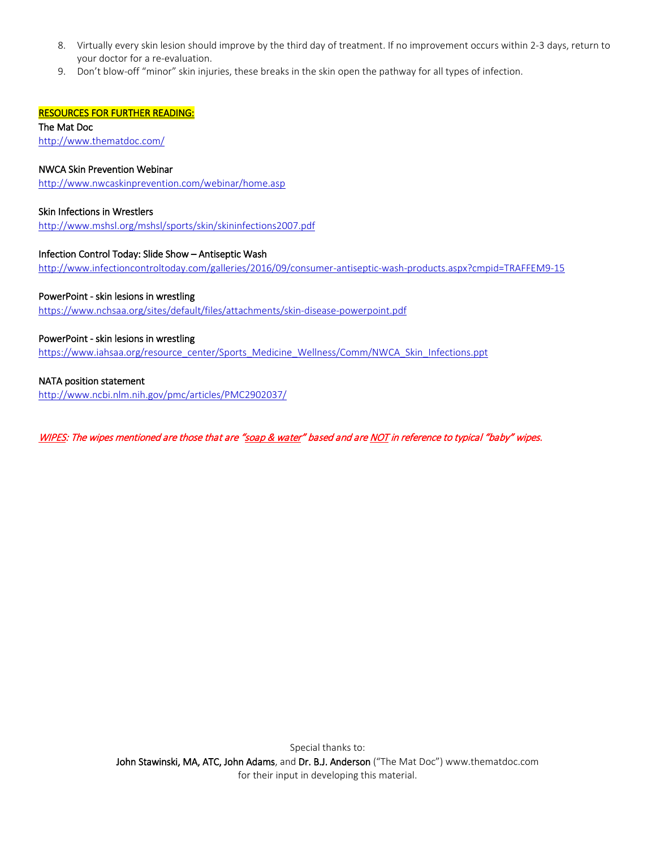- 8. Virtually every skin lesion should improve by the third day of treatment. If no improvement occurs within 2-3 days, return to your doctor for a re-evaluation.
- 9. Don't blow-off "minor" skin injuries, these breaks in the skin open the pathway for all types of infection.

#### RESOURCES FOR FURTHER READING:

The Mat Doc <http://www.thematdoc.com/>

#### NWCA Skin Prevention Webinar

<http://www.nwcaskinprevention.com/webinar/home.asp>

#### Skin Infections in Wrestlers

<http://www.mshsl.org/mshsl/sports/skin/skininfections2007.pdf>

#### Infection Control Today: Slide Show – Antiseptic Wash

<http://www.infectioncontroltoday.com/galleries/2016/09/consumer-antiseptic-wash-products.aspx?cmpid=TRAFFEM9-15>

#### PowerPoint - skin lesions in wrestling

<https://www.nchsaa.org/sites/default/files/attachments/skin-disease-powerpoint.pdf>

#### PowerPoint - skin lesions in wrestling

[https://www.iahsaa.org/resource\\_center/Sports\\_Medicine\\_Wellness/Comm/NWCA\\_Skin\\_Infections.ppt](https://www.iahsaa.org/resource_center/Sports_Medicine_Wellness/Comm/NWCA_Skin_Infections.ppt)

#### NATA position statement

<http://www.ncbi.nlm.nih.gov/pmc/articles/PMC2902037/>

WIPES: The wipes mentioned are those that are "soap & water" based and are NOT in reference to typical "baby" wipes.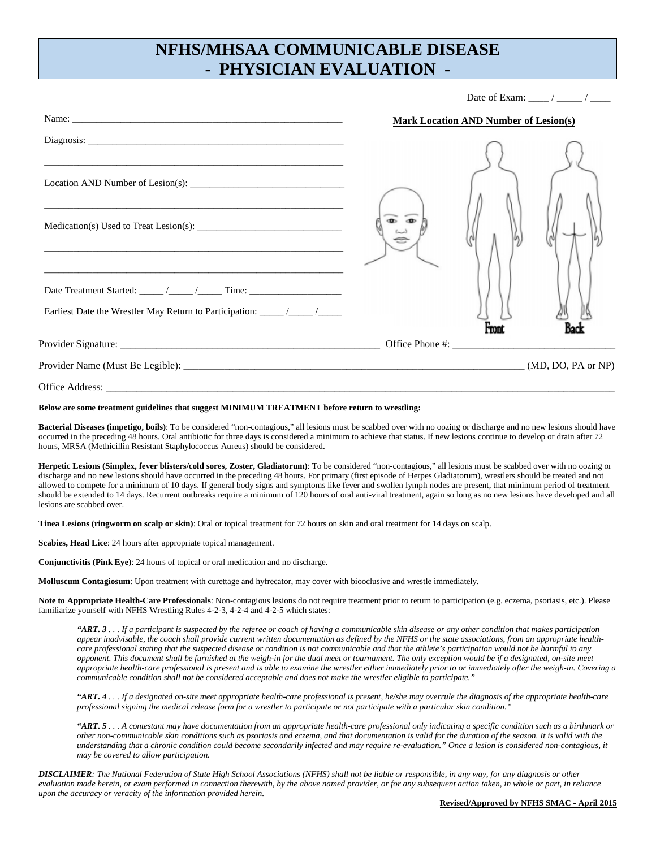### **NFHS/MHSAA COMMUNICABLE DISEASE - PHYSICIAN EVALUATION -**

Date of Exam:  $\frac{1}{2}$  /

|                                                                                                                       | <b>Mark Location AND Number of Lesion(s)</b> |       |  |
|-----------------------------------------------------------------------------------------------------------------------|----------------------------------------------|-------|--|
|                                                                                                                       |                                              |       |  |
| Location AND Number of Lesion(s): $\frac{1}{1}$                                                                       |                                              |       |  |
| <u> 1989 - Johann Harry Harry Harry Harry Harry Harry Harry Harry Harry Harry Harry Harry Harry Harry Harry Harry</u> |                                              |       |  |
| <u> 1989 - Johann John Stoff, deutscher Stoffen und der Stoffen und der Stoffen und der Stoffen und der Stoffen u</u> |                                              | Front |  |
|                                                                                                                       |                                              |       |  |
|                                                                                                                       |                                              |       |  |
|                                                                                                                       |                                              |       |  |

#### **Below are some treatment guidelines that suggest MINIMUM TREATMENT before return to wrestling:**

**Bacterial Diseases (impetigo, boils**): To be considered "non-contagious," all lesions must be scabbed over with no oozing or discharge and no new lesions should have occurred in the preceding 48 hours. Oral antibiotic for three days is considered a minimum to achieve that status. If new lesions continue to develop or drain after 72 hours, MRSA (Methicillin Resistant Staphylococcus Aureus) should be considered.

**Herpetic Lesions (Simplex, fever blisters/cold sores, Zoster, Gladiatorum)**: To be considered "non-contagious," all lesions must be scabbed over with no oozing or discharge and no new lesions should have occurred in the preceding 48 hours. For primary (first episode of Herpes Gladiatorum), wrestlers should be treated and not allowed to compete for a minimum of 10 days. If general body signs and symptoms like fever and swollen lymph nodes are present, that minimum period of treatment should be extended to 14 days. Recurrent outbreaks require a minimum of 120 hours of oral anti-viral treatment, again so long as no new lesions have developed and all lesions are scabbed over.

**Tinea Lesions (ringworm on scalp or skin)**: Oral or topical treatment for 72 hours on skin and oral treatment for 14 days on scalp.

**Scabies, Head Lice**: 24 hours after appropriate topical management.

**Conjunctivitis (Pink Eye)**: 24 hours of topical or oral medication and no discharge.

**Molluscum Contagiosum**: Upon treatment with curettage and hyfrecator, may cover with biooclusive and wrestle immediately.

**Note to Appropriate Health-Care Professionals**: Non-contagious lesions do not require treatment prior to return to participation (e.g. eczema, psoriasis, etc.). Please familiarize yourself with NFHS Wrestling Rules 4-2-3, 4-2-4 and 4-2-5 which states:

*"ART. 3... If a participant is suspected by the referee or coach of having a communicable skin disease or any other condition that makes participation appear inadvisable, the coach shall provide current written documentation as defined by the NFHS or the state associations, from an appropriate healthcare professional stating that the suspected disease or condition is not communicable and that the athlete's participation would not be harmful to any opponent. This document shall be furnished at the weigh-in for the dual meet or tournament. The only exception would be if a designated, on-site meet appropriate health-care professional is present and is able to examine the wrestler either immediately prior to or immediately after the weigh-in. Covering a communicable condition shall not be considered acceptable and does not make the wrestler eligible to participate."* 

*"ART. 4 . . . If a designated on-site meet appropriate health-care professional is present, he/she may overrule the diagnosis of the appropriate health-care professional signing the medical release form for a wrestler to participate or not participate with a particular skin condition."* 

*"ART. 5 . . . A contestant may have documentation from an appropriate health-care professional only indicating a specific condition such as a birthmark or other non-communicable skin conditions such as psoriasis and eczema, and that documentation is valid for the duration of the season. It is valid with the understanding that a chronic condition could become secondarily infected and may require re-evaluation." Once a lesion is considered non-contagious, it may be covered to allow participation.* 

*DISCLAIMER: The National Federation of State High School Associations (NFHS) shall not be liable or responsible, in any way, for any diagnosis or other evaluation made herein, or exam performed in connection therewith, by the above named provider, or for any subsequent action taken, in whole or part, in reliance upon the accuracy or veracity of the information provided herein.*